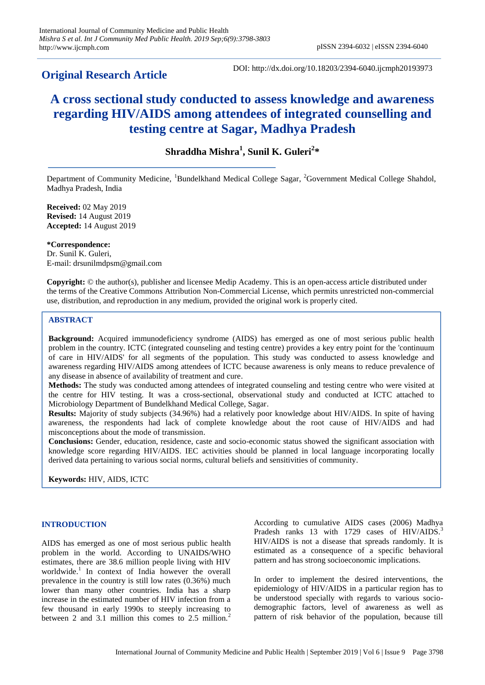# **Original Research Article**

DOI: http://dx.doi.org/10.18203/2394-6040.ijcmph20193973

# **A cross sectional study conducted to assess knowledge and awareness regarding HIV/AIDS among attendees of integrated counselling and testing centre at Sagar, Madhya Pradesh**

# **Shraddha Mishra<sup>1</sup> , Sunil K. Guleri<sup>2</sup> \***

Department of Community Medicine, <sup>1</sup>Bundelkhand Medical College Sagar, <sup>2</sup>Government Medical College Shahdol, Madhya Pradesh, India

**Received:** 02 May 2019 **Revised:** 14 August 2019 **Accepted:** 14 August 2019

**\*Correspondence:** Dr. Sunil K. Guleri, E-mail: drsunilmdpsm@gmail.com

**Copyright:** © the author(s), publisher and licensee Medip Academy. This is an open-access article distributed under the terms of the Creative Commons Attribution Non-Commercial License, which permits unrestricted non-commercial use, distribution, and reproduction in any medium, provided the original work is properly cited.

# **ABSTRACT**

**Background:** Acquired immunodeficiency syndrome (AIDS) has emerged as one of most serious public health problem in the country. ICTC (integrated counseling and testing centre) provides a key entry point for the 'continuum of care in HIV/AIDS' for all segments of the population. This study was conducted to assess knowledge and awareness regarding HIV/AIDS among attendees of ICTC because awareness is only means to reduce prevalence of any disease in absence of availability of treatment and cure.

**Methods:** The study was conducted among attendees of integrated counseling and testing centre who were visited at the centre for HIV testing. It was a cross-sectional, observational study and conducted at ICTC attached to Microbiology Department of Bundelkhand Medical College, Sagar.

**Results:** Majority of study subjects (34.96%) had a relatively poor knowledge about HIV/AIDS. In spite of having awareness, the respondents had lack of complete knowledge about the root cause of HIV/AIDS and had misconceptions about the mode of transmission.

**Conclusions:** Gender, education, residence, caste and socio-economic status showed the significant association with knowledge score regarding HIV/AIDS. IEC activities should be planned in local language incorporating locally derived data pertaining to various social norms, cultural beliefs and sensitivities of community.

**Keywords:** HIV, AIDS, ICTC

## **INTRODUCTION**

AIDS has emerged as one of most serious public health problem in the world. According to UNAIDS/WHO estimates, there are 38.6 million people living with HIV worldwide.<sup>1</sup> In context of India however the overall prevalence in the country is still low rates (0.36%) much lower than many other countries. India has a sharp increase in the estimated number of HIV infection from a few thousand in early 1990s to steeply increasing to between 2 and 3.1 million this comes to  $2.5$  million.<sup>2</sup>

According to cumulative AIDS cases (2006) Madhya Pradesh ranks 13 with 1729 cases of HIV/AIDS.<sup>3</sup> HIV/AIDS is not a disease that spreads randomly. It is estimated as a consequence of a specific behavioral pattern and has strong socioeconomic implications.

In order to implement the desired interventions, the epidemiology of HIV/AIDS in a particular region has to be understood specially with regards to various sociodemographic factors, level of awareness as well as pattern of risk behavior of the population, because till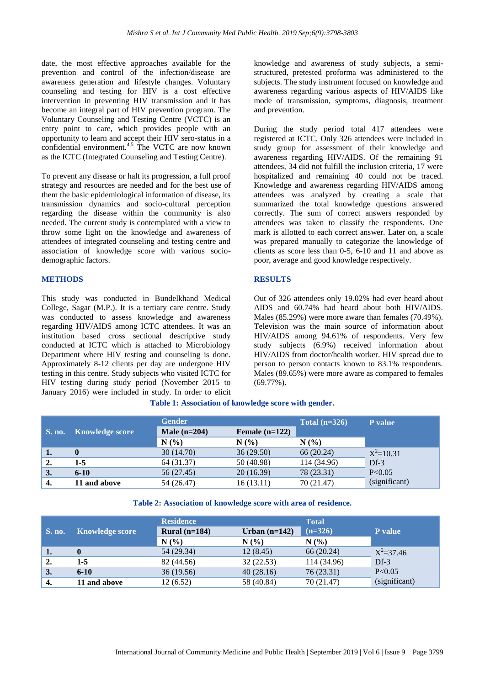date, the most effective approaches available for the prevention and control of the infection/disease are awareness generation and lifestyle changes. Voluntary counseling and testing for HIV is a cost effective intervention in preventing HIV transmission and it has become an integral part of HIV prevention program. The Voluntary Counseling and Testing Centre (VCTC) is an entry point to care, which provides people with an opportunity to learn and accept their HIV sero-status in a confidential environment. $4,5$  The VCTC are now known as the ICTC (Integrated Counseling and Testing Centre).

To prevent any disease or halt its progression, a full proof strategy and resources are needed and for the best use of them the basic epidemiological information of disease, its transmission dynamics and socio-cultural perception regarding the disease within the community is also needed. The current study is contemplated with a view to throw some light on the knowledge and awareness of attendees of integrated counseling and testing centre and association of knowledge score with various sociodemographic factors.

#### **METHODS**

This study was conducted in Bundelkhand Medical College, Sagar (M.P.). It is a tertiary care centre. Study was conducted to assess knowledge and awareness regarding HIV/AIDS among ICTC attendees. It was an institution based cross sectional descriptive study conducted at ICTC which is attached to Microbiology Department where HIV testing and counseling is done. Approximately 8-12 clients per day are undergone HIV testing in this centre. Study subjects who visited ICTC for HIV testing during study period (November 2015 to January 2016) were included in study. In order to elicit knowledge and awareness of study subjects, a semistructured, pretested proforma was administered to the subjects. The study instrument focused on knowledge and awareness regarding various aspects of HIV/AIDS like mode of transmission, symptoms, diagnosis, treatment and prevention.

During the study period total 417 attendees were registered at ICTC. Only 326 attendees were included in study group for assessment of their knowledge and awareness regarding HIV/AIDS. Of the remaining 91 attendees, 34 did not fulfill the inclusion criteria, 17 were hospitalized and remaining 40 could not be traced. Knowledge and awareness regarding HIV/AIDS among attendees was analyzed by creating a scale that summarized the total knowledge questions answered correctly. The sum of correct answers responded by attendees was taken to classify the respondents. One mark is allotted to each correct answer. Later on, a scale was prepared manually to categorize the knowledge of clients as score less than 0-5, 6-10 and 11 and above as poor, average and good knowledge respectively.

## **RESULTS**

Out of 326 attendees only 19.02% had ever heard about AIDS and 60.74% had heard about both HIV/AIDS. Males (85.29%) were more aware than females (70.49%). Television was the main source of information about HIV/AIDS among 94.61% of respondents. Very few study subjects (6.9%) received information about HIV/AIDS from doctor/health worker. HIV spread due to person to person contacts known to 83.1% respondents. Males (89.65%) were more aware as compared to females (69.77%).

|  | Table 1: Association of knowledge score with gender. |  |  |  |
|--|------------------------------------------------------|--|--|--|
|  |                                                      |  |  |  |

|        |                        | <b>Gender</b>                      |            | Total $(n=326)$ | P value       |
|--------|------------------------|------------------------------------|------------|-----------------|---------------|
| S. no. | <b>Knowledge score</b> | Male $(n=204)$<br>Female $(n=122)$ |            |                 |               |
|        |                        | N(%                                | $N(\%)$    | N(%             |               |
| Ч.     | $\bf{0}$               | 30 (14.70)                         | 36(29.50)  | 66 (20.24)      | $X^2=10.31$   |
| 2.     | 1-5                    | 64 (31.37)                         | 50 (40.98) | 114 (34.96)     | $Df-3$        |
| 3.     | $6-10$                 | 56 (27.45)                         | 20(16.39)  | 78 (23.31)      | P < 0.05      |
| 4.     | 11 and above           | 54 (26.47)                         | 16 (13.11) | 70 (21.47)      | (significant) |

# **Table 2: Association of knowledge score with area of residence.**

|                    |                        | <b>Residence</b> |                 |             |               |
|--------------------|------------------------|------------------|-----------------|-------------|---------------|
| $\mathbf{S}$ . no. | <b>Knowledge score</b> | Rural $(n=184)$  | Urban $(n=142)$ | $(n=326)$   | P value       |
|                    |                        | N(%              | N(%             | $N(\%)$     |               |
| 1.                 | $\bf{0}$               | 54 (29.34)       | 12(8.45)        | 66 (20.24)  | $X^2 = 37.46$ |
| 2.                 | 1-5                    | 82 (44.56)       | 32(22.53)       | 114 (34.96) | $Df-3$        |
| 3.                 | $6-10$                 | 36(19.56)        | 40(28.16)       | 76(23.31)   | P < 0.05      |
| 4.                 | 11 and above           | 12(6.52)         | 58 (40.84)      | 70 (21.47)  | (significant) |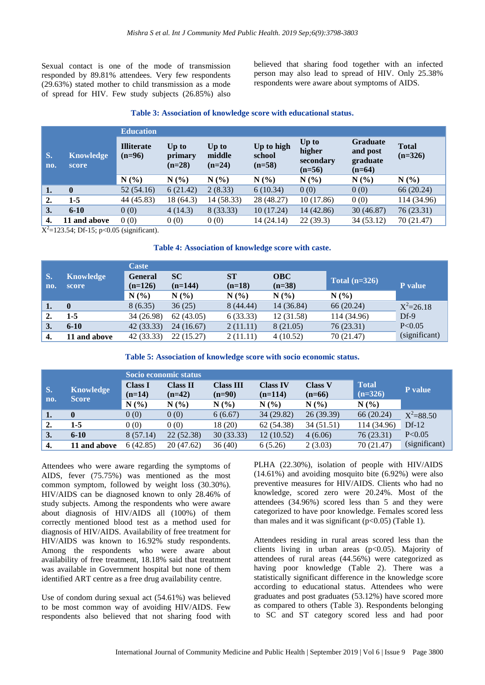Sexual contact is one of the mode of transmission responded by 89.81% attendees. Very few respondents (29.63%) stated mother to child transmission as a mode of spread for HIV. Few study subjects (26.85%) also believed that sharing food together with an infected person may also lead to spread of HIV. Only 25.38% respondents were aware about symptoms of AIDS.

#### **Table 3: Association of knowledge score with educational status.**

|           | <b>Education</b><br><b>Illiterate</b><br><b>Knowledge</b><br>$(n=96)$<br>score |            |                              |                             |                                  |                                          |                                                     |                           |
|-----------|--------------------------------------------------------------------------------|------------|------------------------------|-----------------------------|----------------------------------|------------------------------------------|-----------------------------------------------------|---------------------------|
| S.<br>no. |                                                                                |            | Up to<br>primary<br>$(n=28)$ | Up to<br>middle<br>$(n=24)$ | Up to high<br>school<br>$(n=58)$ | Up to<br>higher<br>secondary<br>$(n=56)$ | <b>Graduate</b><br>and post<br>graduate<br>$(n=64)$ | <b>Total</b><br>$(n=326)$ |
|           |                                                                                | N(%        | N(%                          | N(%)                        | N(%                              | N(%                                      | N(%)                                                | N(%)                      |
| 1.        | $\mathbf{0}$                                                                   | 52(54.16)  | 6(21.42)                     | 2(8.33)                     | 6(10.34)                         | 0(0)                                     | 0(0)                                                | 66 (20.24)                |
| 2.        | $1-5$                                                                          | 44 (45.83) | 18 (64.3)                    | 14 (58.33)                  | 28 (48.27)                       | 10(17.86)                                | 0(0)                                                | 114 (34.96)               |
| 3.        | $6 - 10$                                                                       | 0(0)       | 4(14.3)                      | 8 (33.33)                   | 10(17.24)                        | 14 (42.86)                               | 30(46.87)                                           | 76 (23.31)                |
| 4.        | 11 and above                                                                   | 0(0)       | 0(0)                         | 0(0)                        | 14 (24.14)                       | 22(39.3)                                 | 34 (53.12)                                          | 70 (21.47)                |

 $X^2$ =123.54; Df-15; p<0.05 (significant).

#### **Table 4: Association of knowledge score with caste.**

|           |                           | <b>Caste</b>                |                        |                       |                        |                 |               |
|-----------|---------------------------|-----------------------------|------------------------|-----------------------|------------------------|-----------------|---------------|
| S.<br>no. | <b>Knowledge</b><br>score | <b>General</b><br>$(n=126)$ | <b>SC</b><br>$(n=144)$ | <b>ST</b><br>$(n=18)$ | <b>OBC</b><br>$(n=38)$ | Total $(n=326)$ | P value       |
|           |                           | N(%                         | N(%                    | $N(\%)$               | N(%                    | N(%             |               |
| 1.        | $\mathbf 0$               | 8(6.35)                     | 36(25)                 | 8(44.44)              | 14 (36.84)             | 66 (20.24)      | $X^2 = 26.18$ |
| 2.        | $1-5$                     | 34 (26.98)                  | 62(43.05)              | 6(33.33)              | 12(31.58)              | 114 (34.96)     | $Df-9$        |
| 3.        | $6 - 10$                  | 42 (33.33)                  | 24 (16.67)             | 2(11.11)              | 8 (21.05)              | 76(23.31)       | P < 0.05      |
| 4.        | 11 and above              | 42 (33.33)                  | 22(15.27)              | 2(11.11)              | 4(10.52)               | 70 (21.47)      | (significant) |

#### **Table 5: Association of knowledge score with socio economic status.**

|                  |                                  | Socio economic status      |                             |                              |                              |                            |                           |               |  |
|------------------|----------------------------------|----------------------------|-----------------------------|------------------------------|------------------------------|----------------------------|---------------------------|---------------|--|
| S.               | <b>Knowledge</b><br><b>Score</b> | <b>Class I</b><br>$(n=14)$ | <b>Class II</b><br>$(n=42)$ | <b>Class III</b><br>$(n=90)$ | <b>Class IV</b><br>$(n=114)$ | <b>Class V</b><br>$(n=66)$ | <b>Total</b><br>$(n=326)$ | P value       |  |
| no.              |                                  | N(%                        | N(%                         | N(%                          | $N(\%)$                      | N(%)                       | N(%)                      |               |  |
| 1.               | $\bf{0}$                         | 0(0)                       | 0(0)                        | 6(6.67)                      | 34 (29.82)                   | 26(39.39)                  | 66 (20.24)                | $X^2 = 88.50$ |  |
| 2.               | 1-5                              | 0(0)                       | 0(0)                        | 18 (20)                      | 62 (54.38)                   | 34 (51.51)                 | 114 (34.96)               | $Df-12$       |  |
| $\overline{3}$ . | $6 - 10$                         | 8(57.14)                   | 22(52.38)                   | 30(33.33)                    | 12(10.52)                    | 4(6.06)                    | 76 (23.31)                | P < 0.05      |  |
| 4.               | 11 and above                     | 6(42.85)                   | 20 (47.62)                  | 36(40)                       | 6(5.26)                      | 2(3.03)                    | 70 (21.47)                | (significant) |  |

Attendees who were aware regarding the symptoms of AIDS, fever (75.75%) was mentioned as the most common symptom, followed by weight loss (30.30%). HIV/AIDS can be diagnosed known to only 28.46% of study subjects. Among the respondents who were aware about diagnosis of HIV/AIDS all (100%) of them correctly mentioned blood test as a method used for diagnosis of HIV/AIDS. Availability of free treatment for HIV/AIDS was known to 16.92% study respondents. Among the respondents who were aware about availability of free treatment, 18.18% said that treatment was available in Government hospital but none of them identified ART centre as a free drug availability centre.

Use of condom during sexual act (54.61%) was believed to be most common way of avoiding HIV/AIDS. Few respondents also believed that not sharing food with

PLHA (22.30%), isolation of people with HIV/AIDS (14.61%) and avoiding mosquito bite (6.92%) were also preventive measures for HIV/AIDS. Clients who had no knowledge, scored zero were 20.24%. Most of the attendees (34.96%) scored less than 5 and they were categorized to have poor knowledge. Females scored less than males and it was significant  $(p<0.05)$  (Table 1).

Attendees residing in rural areas scored less than the clients living in urban areas  $(p<0.05)$ . Majority of attendees of rural areas (44.56%) were categorized as having poor knowledge (Table 2). There was a statistically significant difference in the knowledge score according to educational status. Attendees who were graduates and post graduates (53.12%) have scored more as compared to others (Table 3). Respondents belonging to SC and ST category scored less and had poor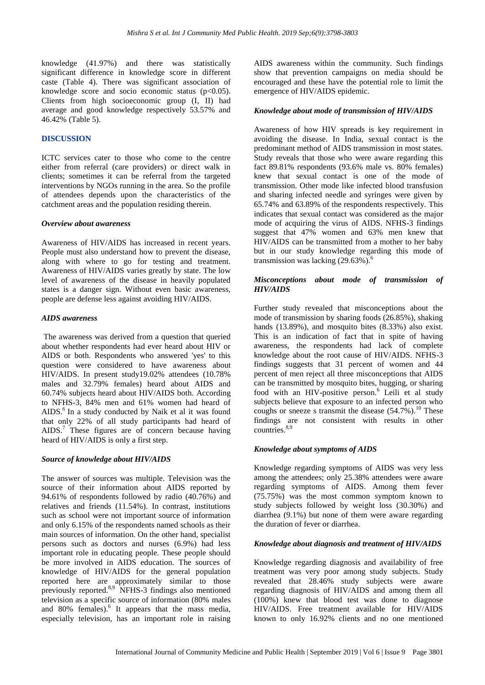knowledge (41.97%) and there was statistically significant difference in knowledge score in different caste (Table 4). There was significant association of knowledge score and socio economic status  $(p<0.05)$ . Clients from high socioeconomic group (I, II) had average and good knowledge respectively 53.57% and 46.42% (Table 5).

# **DISCUSSION**

ICTC services cater to those who come to the centre either from referral (care providers) or direct walk in clients; sometimes it can be referral from the targeted interventions by NGOs running in the area. So the profile of attendees depends upon the characteristics of the catchment areas and the population residing therein.

#### *Overview about awareness*

Awareness of HIV/AIDS has increased in recent years. People must also understand how to prevent the disease, along with where to go for testing and treatment. Awareness of HIV/AIDS varies greatly by state. The low level of awareness of the disease in heavily populated states is a danger sign. Without even basic awareness, people are defense less against avoiding HIV/AIDS.

#### *AIDS awareness*

The awareness was derived from a question that queried about whether respondents had ever heard about HIV or AIDS or both. Respondents who answered 'yes' to this question were considered to have awareness about HIV/AIDS. In present study19.02% attendees (10.78% males and 32.79% females) heard about AIDS and 60.74% subjects heard about HIV/AIDS both. According to NFHS-3, 84% men and 61% women had heard of  $AIDS<sup>6</sup>$  In a study conducted by Naik et al it was found that only 22% of all study participants had heard of AIDS.<sup>7</sup> These figures are of concern because having heard of HIV/AIDS is only a first step.

#### *Source of knowledge about HIV/AIDS*

The answer of sources was multiple. Television was the source of their information about AIDS reported by 94.61% of respondents followed by radio (40.76%) and relatives and friends (11.54%). In contrast, institutions such as school were not important source of information and only 6.15% of the respondents named schools as their main sources of information. On the other hand, specialist persons such as doctors and nurses (6.9%) had less important role in educating people. These people should be more involved in AIDS education. The sources of knowledge of HIV/AIDS for the general population reported here are approximately similar to those previously reported.<sup>8,9</sup> NFHS-3 findings also mentioned television as a specific source of information (80% males and 80% females).<sup>6</sup> It appears that the mass media, especially television, has an important role in raising AIDS awareness within the community. Such findings show that prevention campaigns on media should be encouraged and these have the potential role to limit the emergence of HIV/AIDS epidemic.

#### *Knowledge about mode of transmission of HIV/AIDS*

Awareness of how HIV spreads is key requirement in avoiding the disease. In India, sexual contact is the predominant method of AIDS transmission in most states. Study reveals that those who were aware regarding this fact 89.81% respondents (93.6% male vs. 80% females) knew that sexual contact is one of the mode of transmission. Other mode like infected blood transfusion and sharing infected needle and syringes were given by 65.74% and 63.89% of the respondents respectively. This indicates that sexual contact was considered as the major mode of acquiring the virus of AIDS. NFHS-3 findings suggest that 47% women and 63% men knew that HIV/AIDS can be transmitted from a mother to her baby but in our study knowledge regarding this mode of transmission was lacking  $(29.63\%)$ .<sup>6</sup>

# *Misconceptions about mode of transmission of HIV/AIDS*

Further study revealed that misconceptions about the mode of transmission by sharing foods (26.85%), shaking hands (13.89%), and mosquito bites (8.33%) also exist. This is an indication of fact that in spite of having awareness, the respondents had lack of complete knowledge about the root cause of HIV/AIDS. NFHS-3 findings suggests that 31 percent of women and 44 percent of men reject all three misconceptions that AIDS can be transmitted by mosquito bites, hugging, or sharing food with an HIV-positive person.<sup>6</sup> Leili et al study subjects believe that exposure to an infected person who coughs or sneeze s transmit the disease  $(54.7\%)$ .<sup>10</sup> These findings are not consistent with results in other  $countries.<sup>8,9</sup>$ 

#### *Knowledge about symptoms of AIDS*

Knowledge regarding symptoms of AIDS was very less among the attendees; only 25.38% attendees were aware regarding symptoms of AIDS. Among them fever (75.75%) was the most common symptom known to study subjects followed by weight loss (30.30%) and diarrhea (9.1%) but none of them were aware regarding the duration of fever or diarrhea.

#### *Knowledge about diagnosis and treatment of HIV/AIDS*

Knowledge regarding diagnosis and availability of free treatment was very poor among study subjects. Study revealed that 28.46% study subjects were aware regarding diagnosis of HIV/AIDS and among them all (100%) knew that blood test was done to diagnose HIV/AIDS. Free treatment available for HIV/AIDS known to only 16.92% clients and no one mentioned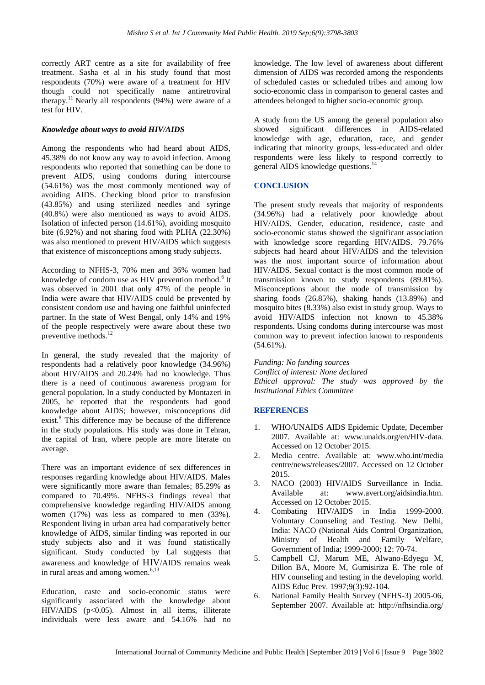correctly ART centre as a site for availability of free treatment. Sasha et al in his study found that most respondents (70%) were aware of a treatment for HIV though could not specifically name antiretroviral therapy.<sup>11</sup> Nearly all respondents  $(94%)$  were aware of a test for HIV.

# *Knowledge about ways to avoid HIV/AIDS*

Among the respondents who had heard about AIDS, 45.38% do not know any way to avoid infection. Among respondents who reported that something can be done to prevent AIDS, using condoms during intercourse (54.61%) was the most commonly mentioned way of avoiding AIDS. Checking blood prior to transfusion (43.85%) and using sterilized needles and syringe (40.8%) were also mentioned as ways to avoid AIDS. Isolation of infected person (14.61%), avoiding mosquito bite (6.92%) and not sharing food with PLHA (22.30%) was also mentioned to prevent HIV/AIDS which suggests that existence of misconceptions among study subjects.

According to NFHS-3, 70% men and 36% women had knowledge of condom use as HIV prevention method.<sup>6</sup> It was observed in 2001 that only 47% of the people in India were aware that HIV/AIDS could be prevented by consistent condom use and having one faithful uninfected partner. In the state of West Bengal, only 14% and 19% of the people respectively were aware about these two preventive methods. 12

In general, the study revealed that the majority of respondents had a relatively poor knowledge (34.96%) about HIV/AIDS and 20.24% had no knowledge. Thus there is a need of continuous awareness program for general population. In a study conducted by Montazeri in 2005, he reported that the respondents had good knowledge about AIDS; however, misconceptions did exist.<sup>8</sup> This difference may be because of the difference in the study populations. His study was done in Tehran, the capital of Iran, where people are more literate on average.

There was an important evidence of sex differences in responses regarding knowledge about HIV/AIDS. Males were significantly more aware than females; 85.29% as compared to 70.49%. NFHS-3 findings reveal that comprehensive knowledge regarding HIV/AIDS among women (17%) was less as compared to men (33%). Respondent living in urban area had comparatively better knowledge of AIDS, similar finding was reported in our study subjects also and it was found statistically significant. Study conducted by Lal suggests that awareness and knowledge of HIV/AIDS remains weak in rural areas and among women. $6,13$ 

Education, caste and socio-economic status were significantly associated with the knowledge about HIV/AIDS (p<0.05). Almost in all items, illiterate individuals were less aware and 54.16% had no knowledge. The low level of awareness about different dimension of AIDS was recorded among the respondents of scheduled castes or scheduled tribes and among low socio-economic class in comparison to general castes and attendees belonged to higher socio-economic group.

A study from the US among the general population also showed significant differences in AIDS-related knowledge with age, education, race, and gender indicating that minority groups, less-educated and older respondents were less likely to respond correctly to general AIDS knowledge questions.<sup>14</sup>

# **CONCLUSION**

The present study reveals that majority of respondents (34.96%) had a relatively poor knowledge about HIV/AIDS. Gender, education, residence, caste and socio-economic status showed the significant association with knowledge score regarding HIV/AIDS. 79.76% subjects had heard about HIV/AIDS and the television was the most important source of information about HIV/AIDS. Sexual contact is the most common mode of transmission known to study respondents (89.81%). Misconceptions about the mode of transmission by sharing foods (26.85%), shaking hands (13.89%) and mosquito bites (8.33%) also exist in study group. Ways to avoid HIV/AIDS infection not known to 45.38% respondents. Using condoms during intercourse was most common way to prevent infection known to respondents  $(54.61\%)$ .

*Funding: No funding sources Conflict of interest: None declared Ethical approval: The study was approved by the Institutional Ethics Committee*

# **REFERENCES**

- 1. WHO/UNAIDS AIDS Epidemic Update, December 2007. Available at: www.unaids.org/en/HIV-data. Accessed on 12 October 2015.
- 2. Media centre. Available at: [www.who.int/m](http://www.who.int/)edia centre/news/releases/2007. Accessed on 12 October 2015.
- 3. NACO (2003) HIV/AIDS Surveillance in India. Available at: www.avert.org/aidsindia.htm. Accessed on 12 October 2015.
- 4. Combating HIV/AIDS in India 1999-2000. Voluntary Counseling and Testing. New Delhi, India: NACO (National Aids Control Organization, Ministry of Health and Family Welfare, Government of India; 1999-2000; 12: 70-74.
- 5. Campbell CJ, Marum ME, Alwano-Edyegu M, Dillon BA, Moore M, Gumisiriza E. The role of HIV counseling and testing in the developing world. AIDS Educ Prev. 1997;9(3):92-104.
- 6. National Family Health Survey (NFHS-3) 2005-06, September 2007. Available at: [http://nfhsindia.](http://nfhsindia/)org/